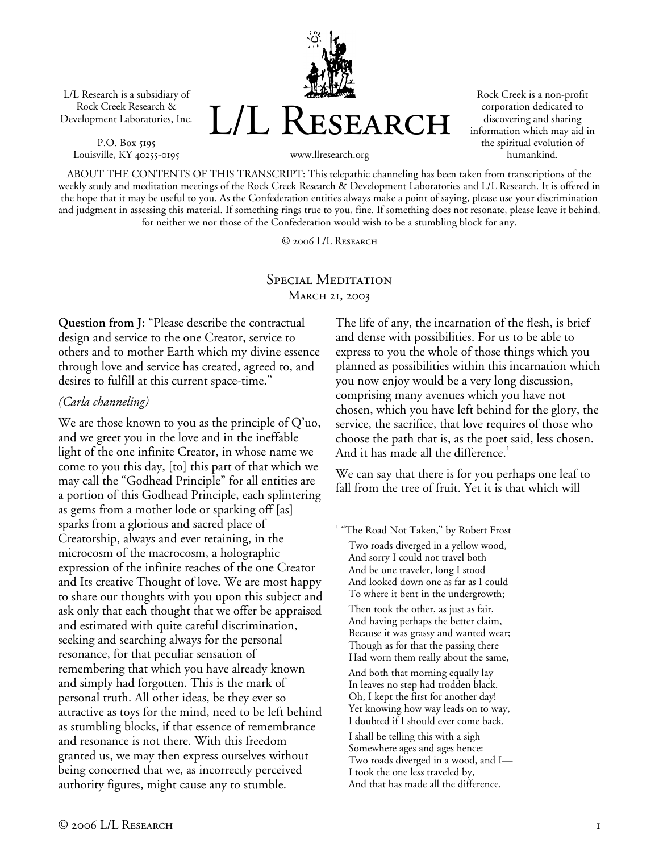L/L Research is a subsidiary of Rock Creek Research & Development Laboratories, Inc.

P.O. Box 5195 Louisville, KY 40255-0195



Rock Creek is a non-profit corporation dedicated to discovering and sharing information which may aid in the spiritual evolution of humankind.

www.llresearch.org

ABOUT THE CONTENTS OF THIS TRANSCRIPT: This telepathic channeling has been taken from transcriptions of the weekly study and meditation meetings of the Rock Creek Research & Development Laboratories and L/L Research. It is offered in the hope that it may be useful to you. As the Confederation entities always make a point of saying, please use your discrimination and judgment in assessing this material. If something rings true to you, fine. If something does not resonate, please leave it behind, for neither we nor those of the Confederation would wish to be a stumbling block for any.

© 2006 L/L Research

## SPECIAL MEDITATION MARCH 21, 2003

 $\overline{a}$ 

**Question from J:** "Please describe the contractual design and service to the one Creator, service to others and to mother Earth which my divine essence through love and service has created, agreed to, and desires to fulfill at this current space-time."

## *(Carla channeling)*

We are those known to you as the principle of Q'uo, and we greet you in the love and in the ineffable light of the one infinite Creator, in whose name we come to you this day, [to] this part of that which we may call the "Godhead Principle" for all entities are a portion of this Godhead Principle, each splintering as gems from a mother lode or sparking off [as] sparks from a glorious and sacred place of Creatorship, always and ever retaining, in the microcosm of the macrocosm, a holographic expression of the infinite reaches of the one Creator and Its creative Thought of love. We are most happy to share our thoughts with you upon this subject and ask only that each thought that we offer be appraised and estimated with quite careful discrimination, seeking and searching always for the personal resonance, for that peculiar sensation of remembering that which you have already known and simply had forgotten. This is the mark of personal truth. All other ideas, be they ever so attractive as toys for the mind, need to be left behind as stumbling blocks, if that essence of remembrance and resonance is not there. With this freedom granted us, we may then express ourselves without being concerned that we, as incorrectly perceived authority figures, might cause any to stumble.

The life of any, the incarnation of the flesh, is brief and dense with possibilities. For us to be able to express to you the whole of those things which you planned as possibilities within this incarnation which you now enjoy would be a very long discussion, comprising many avenues which you have not chosen, which you have left behind for the glory, the service, the sacrifice, that love requires of those who choose the path that is, as the poet said, less chosen. And it has made all the difference.<sup>1</sup>

We can say that there is for you perhaps one leaf to fall from the tree of fruit. Yet it is that which will

<sup>&</sup>lt;sup>1</sup> "The Road Not Taken," by Robert Frost Two roads diverged in a yellow wood, And sorry I could not travel both And be one traveler, long I stood And looked down one as far as I could To where it bent in the undergrowth; Then took the other, as just as fair, And having perhaps the better claim, Because it was grassy and wanted wear; Though as for that the passing there Had worn them really about the same, And both that morning equally lay In leaves no step had trodden black. Oh, I kept the first for another day! Yet knowing how way leads on to way, I doubted if I should ever come back. I shall be telling this with a sigh Somewhere ages and ages hence: Two roads diverged in a wood, and I— I took the one less traveled by, And that has made all the difference.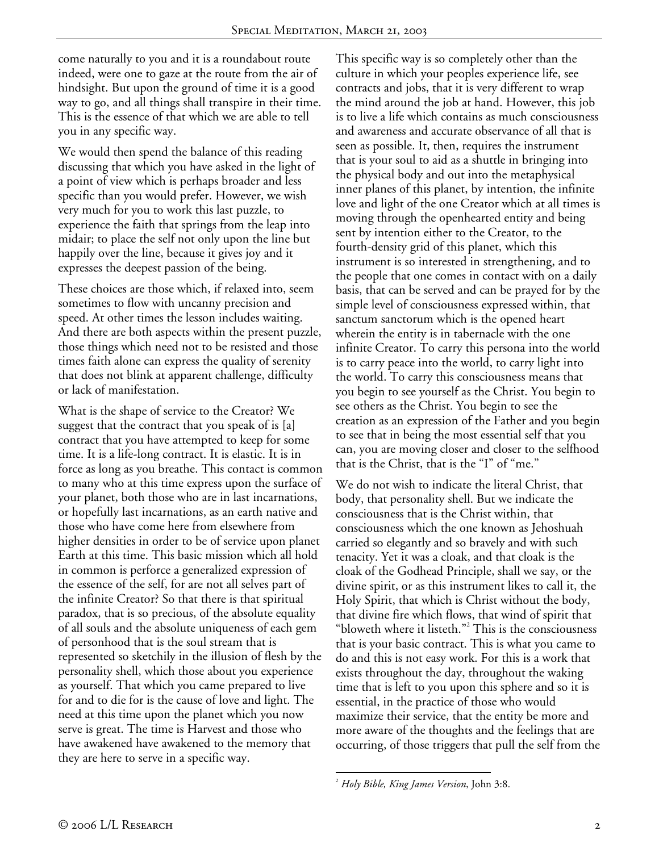come naturally to you and it is a roundabout route indeed, were one to gaze at the route from the air of hindsight. But upon the ground of time it is a good way to go, and all things shall transpire in their time. This is the essence of that which we are able to tell you in any specific way.

We would then spend the balance of this reading discussing that which you have asked in the light of a point of view which is perhaps broader and less specific than you would prefer. However, we wish very much for you to work this last puzzle, to experience the faith that springs from the leap into midair; to place the self not only upon the line but happily over the line, because it gives joy and it expresses the deepest passion of the being.

These choices are those which, if relaxed into, seem sometimes to flow with uncanny precision and speed. At other times the lesson includes waiting. And there are both aspects within the present puzzle, those things which need not to be resisted and those times faith alone can express the quality of serenity that does not blink at apparent challenge, difficulty or lack of manifestation.

What is the shape of service to the Creator? We suggest that the contract that you speak of is [a] contract that you have attempted to keep for some time. It is a life-long contract. It is elastic. It is in force as long as you breathe. This contact is common to many who at this time express upon the surface of your planet, both those who are in last incarnations, or hopefully last incarnations, as an earth native and those who have come here from elsewhere from higher densities in order to be of service upon planet Earth at this time. This basic mission which all hold in common is perforce a generalized expression of the essence of the self, for are not all selves part of the infinite Creator? So that there is that spiritual paradox, that is so precious, of the absolute equality of all souls and the absolute uniqueness of each gem of personhood that is the soul stream that is represented so sketchily in the illusion of flesh by the personality shell, which those about you experience as yourself. That which you came prepared to live for and to die for is the cause of love and light. The need at this time upon the planet which you now serve is great. The time is Harvest and those who have awakened have awakened to the memory that they are here to serve in a specific way.

This specific way is so completely other than the culture in which your peoples experience life, see contracts and jobs, that it is very different to wrap the mind around the job at hand. However, this job is to live a life which contains as much consciousness and awareness and accurate observance of all that is seen as possible. It, then, requires the instrument that is your soul to aid as a shuttle in bringing into the physical body and out into the metaphysical inner planes of this planet, by intention, the infinite love and light of the one Creator which at all times is moving through the openhearted entity and being sent by intention either to the Creator, to the fourth-density grid of this planet, which this instrument is so interested in strengthening, and to the people that one comes in contact with on a daily basis, that can be served and can be prayed for by the simple level of consciousness expressed within, that sanctum sanctorum which is the opened heart wherein the entity is in tabernacle with the one infinite Creator. To carry this persona into the world is to carry peace into the world, to carry light into the world. To carry this consciousness means that you begin to see yourself as the Christ. You begin to see others as the Christ. You begin to see the creation as an expression of the Father and you begin to see that in being the most essential self that you can, you are moving closer and closer to the selfhood that is the Christ, that is the "I" of "me."

We do not wish to indicate the literal Christ, that body, that personality shell. But we indicate the consciousness that is the Christ within, that consciousness which the one known as Jehoshuah carried so elegantly and so bravely and with such tenacity. Yet it was a cloak, and that cloak is the cloak of the Godhead Principle, shall we say, or the divine spirit, or as this instrument likes to call it, the Holy Spirit, that which is Christ without the body, that divine fire which flows, that wind of spirit that "bloweth where it listeth."<sup>2</sup> This is the consciousness that is your basic contract. This is what you came to do and this is not easy work. For this is a work that exists throughout the day, throughout the waking time that is left to you upon this sphere and so it is essential, in the practice of those who would maximize their service, that the entity be more and more aware of the thoughts and the feelings that are occurring, of those triggers that pull the self from the

 $\overline{a}$ 

<sup>2</sup> *Holy Bible, King James Version*, John 3:8.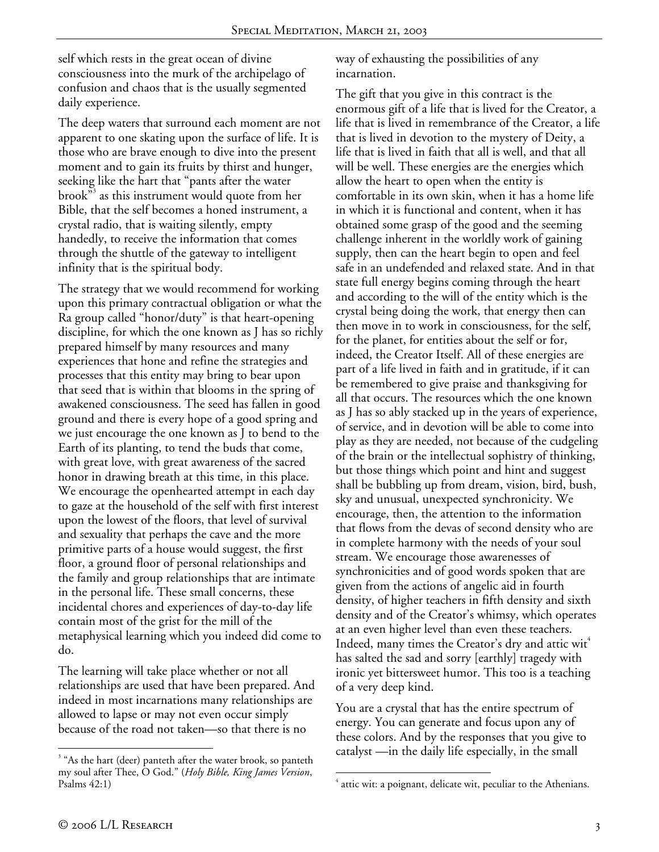self which rests in the great ocean of divine consciousness into the murk of the archipelago of confusion and chaos that is the usually segmented daily experience.

The deep waters that surround each moment are not apparent to one skating upon the surface of life. It is those who are brave enough to dive into the present moment and to gain its fruits by thirst and hunger, seeking like the hart that "pants after the water brook"<sup>3</sup> as this instrument would quote from her Bible, that the self becomes a honed instrument, a crystal radio, that is waiting silently, empty handedly, to receive the information that comes through the shuttle of the gateway to intelligent infinity that is the spiritual body.

The strategy that we would recommend for working upon this primary contractual obligation or what the Ra group called "honor/duty" is that heart-opening discipline, for which the one known as J has so richly prepared himself by many resources and many experiences that hone and refine the strategies and processes that this entity may bring to bear upon that seed that is within that blooms in the spring of awakened consciousness. The seed has fallen in good ground and there is every hope of a good spring and we just encourage the one known as J to bend to the Earth of its planting, to tend the buds that come, with great love, with great awareness of the sacred honor in drawing breath at this time, in this place. We encourage the openhearted attempt in each day to gaze at the household of the self with first interest upon the lowest of the floors, that level of survival and sexuality that perhaps the cave and the more primitive parts of a house would suggest, the first floor, a ground floor of personal relationships and the family and group relationships that are intimate in the personal life. These small concerns, these incidental chores and experiences of day-to-day life contain most of the grist for the mill of the metaphysical learning which you indeed did come to do.

The learning will take place whether or not all relationships are used that have been prepared. And indeed in most incarnations many relationships are allowed to lapse or may not even occur simply because of the road not taken—so that there is no

way of exhausting the possibilities of any incarnation.

The gift that you give in this contract is the enormous gift of a life that is lived for the Creator, a life that is lived in remembrance of the Creator, a life that is lived in devotion to the mystery of Deity, a life that is lived in faith that all is well, and that all will be well. These energies are the energies which allow the heart to open when the entity is comfortable in its own skin, when it has a home life in which it is functional and content, when it has obtained some grasp of the good and the seeming challenge inherent in the worldly work of gaining supply, then can the heart begin to open and feel safe in an undefended and relaxed state. And in that state full energy begins coming through the heart and according to the will of the entity which is the crystal being doing the work, that energy then can then move in to work in consciousness, for the self, for the planet, for entities about the self or for, indeed, the Creator Itself. All of these energies are part of a life lived in faith and in gratitude, if it can be remembered to give praise and thanksgiving for all that occurs. The resources which the one known as J has so ably stacked up in the years of experience, of service, and in devotion will be able to come into play as they are needed, not because of the cudgeling of the brain or the intellectual sophistry of thinking, but those things which point and hint and suggest shall be bubbling up from dream, vision, bird, bush, sky and unusual, unexpected synchronicity. We encourage, then, the attention to the information that flows from the devas of second density who are in complete harmony with the needs of your soul stream. We encourage those awarenesses of synchronicities and of good words spoken that are given from the actions of angelic aid in fourth density, of higher teachers in fifth density and sixth density and of the Creator's whimsy, which operates at an even higher level than even these teachers. Indeed, many times the Creator's dry and attic wit<sup> $+$ </sup> has salted the sad and sorry [earthly] tragedy with ironic yet bittersweet humor. This too is a teaching of a very deep kind.

You are a crystal that has the entire spectrum of energy. You can generate and focus upon any of these colors. And by the responses that you give to catalyst —in the daily life especially, in the small

<sup>1</sup> <sup>3</sup> "As the hart (deer) panteth after the water brook, so panteth my soul after Thee, O God." (*Holy Bible, King James Version*, Psalms 42:1)

<sup>1</sup> 4 attic wit: a poignant, delicate wit, peculiar to the Athenians.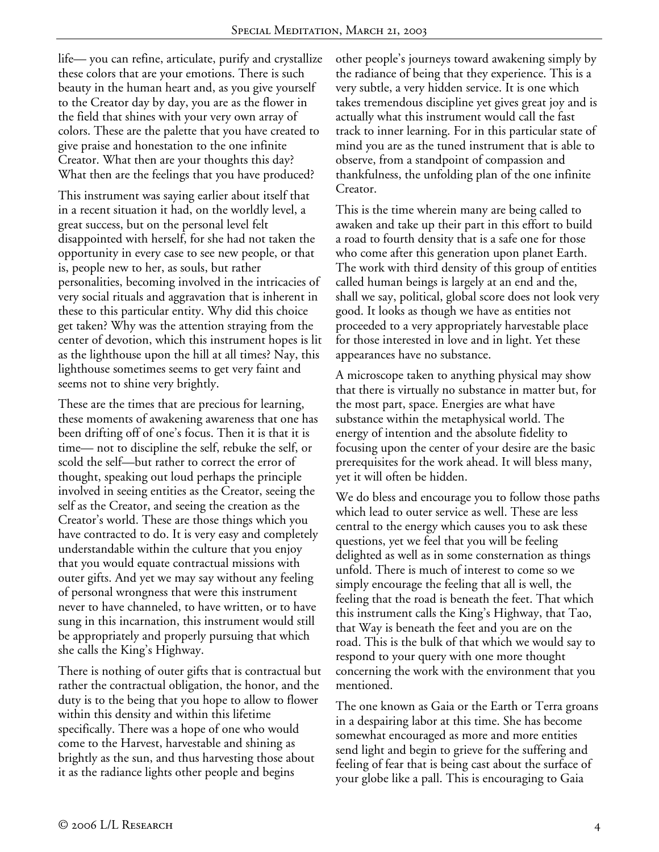life— you can refine, articulate, purify and crystallize these colors that are your emotions. There is such beauty in the human heart and, as you give yourself to the Creator day by day, you are as the flower in the field that shines with your very own array of colors. These are the palette that you have created to give praise and honestation to the one infinite Creator. What then are your thoughts this day? What then are the feelings that you have produced?

This instrument was saying earlier about itself that in a recent situation it had, on the worldly level, a great success, but on the personal level felt disappointed with herself, for she had not taken the opportunity in every case to see new people, or that is, people new to her, as souls, but rather personalities, becoming involved in the intricacies of very social rituals and aggravation that is inherent in these to this particular entity. Why did this choice get taken? Why was the attention straying from the center of devotion, which this instrument hopes is lit as the lighthouse upon the hill at all times? Nay, this lighthouse sometimes seems to get very faint and seems not to shine very brightly.

These are the times that are precious for learning, these moments of awakening awareness that one has been drifting off of one's focus. Then it is that it is time— not to discipline the self, rebuke the self, or scold the self—but rather to correct the error of thought, speaking out loud perhaps the principle involved in seeing entities as the Creator, seeing the self as the Creator, and seeing the creation as the Creator's world. These are those things which you have contracted to do. It is very easy and completely understandable within the culture that you enjoy that you would equate contractual missions with outer gifts. And yet we may say without any feeling of personal wrongness that were this instrument never to have channeled, to have written, or to have sung in this incarnation, this instrument would still be appropriately and properly pursuing that which she calls the King's Highway.

There is nothing of outer gifts that is contractual but rather the contractual obligation, the honor, and the duty is to the being that you hope to allow to flower within this density and within this lifetime specifically. There was a hope of one who would come to the Harvest, harvestable and shining as brightly as the sun, and thus harvesting those about it as the radiance lights other people and begins

other people's journeys toward awakening simply by the radiance of being that they experience. This is a very subtle, a very hidden service. It is one which takes tremendous discipline yet gives great joy and is actually what this instrument would call the fast track to inner learning. For in this particular state of mind you are as the tuned instrument that is able to observe, from a standpoint of compassion and thankfulness, the unfolding plan of the one infinite Creator.

This is the time wherein many are being called to awaken and take up their part in this effort to build a road to fourth density that is a safe one for those who come after this generation upon planet Earth. The work with third density of this group of entities called human beings is largely at an end and the, shall we say, political, global score does not look very good. It looks as though we have as entities not proceeded to a very appropriately harvestable place for those interested in love and in light. Yet these appearances have no substance.

A microscope taken to anything physical may show that there is virtually no substance in matter but, for the most part, space. Energies are what have substance within the metaphysical world. The energy of intention and the absolute fidelity to focusing upon the center of your desire are the basic prerequisites for the work ahead. It will bless many, yet it will often be hidden.

We do bless and encourage you to follow those paths which lead to outer service as well. These are less central to the energy which causes you to ask these questions, yet we feel that you will be feeling delighted as well as in some consternation as things unfold. There is much of interest to come so we simply encourage the feeling that all is well, the feeling that the road is beneath the feet. That which this instrument calls the King's Highway, that Tao, that Way is beneath the feet and you are on the road. This is the bulk of that which we would say to respond to your query with one more thought concerning the work with the environment that you mentioned.

The one known as Gaia or the Earth or Terra groans in a despairing labor at this time. She has become somewhat encouraged as more and more entities send light and begin to grieve for the suffering and feeling of fear that is being cast about the surface of your globe like a pall. This is encouraging to Gaia